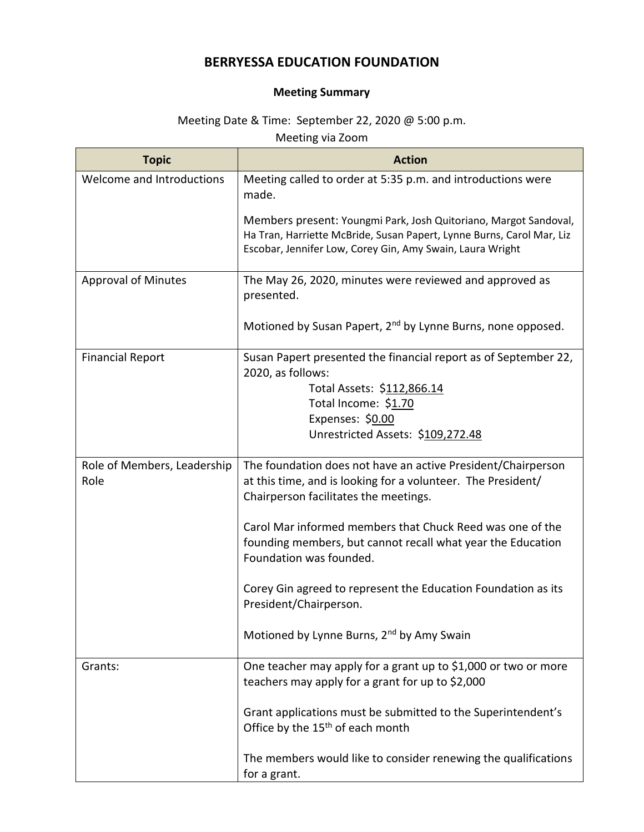## **BERRYESSA EDUCATION FOUNDATION**

## **Meeting Summary**

## Meeting Date & Time: September 22, 2020 @ 5:00 p.m.

Meeting via Zoom

| <b>Topic</b>                        | <b>Action</b>                                                                                                                                                                                          |
|-------------------------------------|--------------------------------------------------------------------------------------------------------------------------------------------------------------------------------------------------------|
| Welcome and Introductions           | Meeting called to order at 5:35 p.m. and introductions were<br>made.                                                                                                                                   |
|                                     | Members present: Youngmi Park, Josh Quitoriano, Margot Sandoval,<br>Ha Tran, Harriette McBride, Susan Papert, Lynne Burns, Carol Mar, Liz<br>Escobar, Jennifer Low, Corey Gin, Amy Swain, Laura Wright |
| <b>Approval of Minutes</b>          | The May 26, 2020, minutes were reviewed and approved as<br>presented.                                                                                                                                  |
|                                     | Motioned by Susan Papert, 2 <sup>nd</sup> by Lynne Burns, none opposed.                                                                                                                                |
| <b>Financial Report</b>             | Susan Papert presented the financial report as of September 22,<br>2020, as follows:<br>Total Assets: \$112,866.14<br>Total Income: \$1.70<br>Expenses: \$0.00                                         |
|                                     | Unrestricted Assets: \$109,272.48                                                                                                                                                                      |
| Role of Members, Leadership<br>Role | The foundation does not have an active President/Chairperson<br>at this time, and is looking for a volunteer. The President/<br>Chairperson facilitates the meetings.                                  |
|                                     | Carol Mar informed members that Chuck Reed was one of the<br>founding members, but cannot recall what year the Education<br>Foundation was founded.                                                    |
|                                     | Corey Gin agreed to represent the Education Foundation as its<br>President/Chairperson.                                                                                                                |
|                                     | Motioned by Lynne Burns, 2 <sup>nd</sup> by Amy Swain                                                                                                                                                  |
| Grants:                             | One teacher may apply for a grant up to \$1,000 or two or more<br>teachers may apply for a grant for up to \$2,000                                                                                     |
|                                     | Grant applications must be submitted to the Superintendent's<br>Office by the 15 <sup>th</sup> of each month                                                                                           |
|                                     | The members would like to consider renewing the qualifications<br>for a grant.                                                                                                                         |